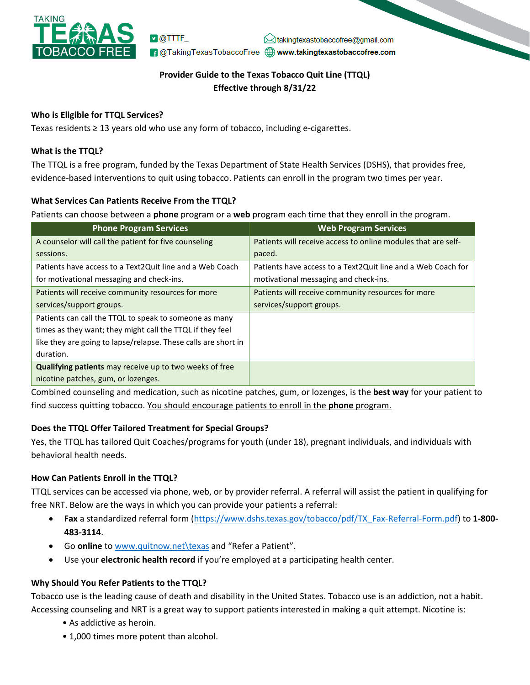

 $\nu$  @TTTF  $\bowtie$  takingtexastobaccofree@gmail.com **f** @TakingTexasTobaccoFree **@www.takingtexastobaccofree.com** 

# **Provider Guide to the Texas Tobacco Quit Line (TTQL) Effective through 8/31/22**

### **Who is Eligible for TTQL Services?**

Texas residents ≥ 13 years old who use any form of tobacco, including e-cigarettes.

#### **What is the TTQL?**

The TTQL is a free program, funded by the Texas Department of State Health Services (DSHS), that provides free, evidence-based interventions to quit using tobacco. Patients can enroll in the program two times per year.

### **What Services Can Patients Receive From the TTQL?**

Patients can choose between a **phone** program or a **web** program each time that they enroll in the program.

| <b>Phone Program Services</b>                                  | <b>Web Program Services</b>                                   |
|----------------------------------------------------------------|---------------------------------------------------------------|
| A counselor will call the patient for five counseling          | Patients will receive access to online modules that are self- |
| sessions.                                                      | paced.                                                        |
| Patients have access to a Text2Quit line and a Web Coach       | Patients have access to a Text2Quit line and a Web Coach for  |
| for motivational messaging and check-ins.                      | motivational messaging and check-ins.                         |
| Patients will receive community resources for more             | Patients will receive community resources for more            |
| services/support groups.                                       | services/support groups.                                      |
| Patients can call the TTQL to speak to someone as many         |                                                               |
| times as they want; they might call the TTQL if they feel      |                                                               |
| like they are going to lapse/relapse. These calls are short in |                                                               |
| duration.                                                      |                                                               |
| <b>Qualifying patients</b> may receive up to two weeks of free |                                                               |
| nicotine patches, gum, or lozenges.                            |                                                               |

Combined counseling and medication, such as nicotine patches, gum, or lozenges, is the **best way** for your patient to find success quitting tobacco. You should encourage patients to enroll in the **phone** program.

## **Does the TTQL Offer Tailored Treatment for Special Groups?**

Yes, the TTQL has tailored Quit Coaches/programs for youth (under 18), pregnant individuals, and individuals with behavioral health needs.

#### **How Can Patients Enroll in the TTQL?**

TTQL services can be accessed via phone, web, or by provider referral. A referral will assist the patient in qualifying for free NRT. Below are the ways in which you can provide your patients a referral:

- **Fax** a standardized referral form [\(https://www.dshs.texas.gov/tobacco/pdf/TX\\_Fax](https://www.dshs.texas.gov/tobacco/pdf/TX_Fax-Referral-Form.pdf)-Referral-Form.pdf) to **1-800- 483-3114**.
- Go **online** t[o www.quitnow.net](http://www.quitnow.net/texas)\texas and "Refer a Patient".
- Use your **electronic health record** if you're employed at a participating health center.

#### **Why Should You Refer Patients to the TTQL?**

Tobacco use is the leading cause of death and disability in the United States. Tobacco use is an addiction, not a habit. Accessing counseling and NRT is a great way to support patients interested in making a quit attempt. Nicotine is:

- As addictive as heroin.
- 1,000 times more potent than alcohol.